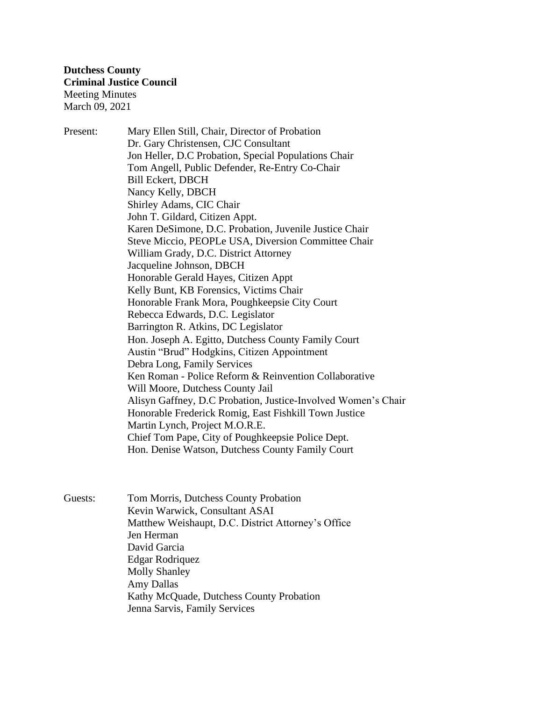Present: Mary Ellen Still, Chair, Director of Probation Dr. Gary Christensen, CJC Consultant Jon Heller, D.C Probation, Special Populations Chair Tom Angell, Public Defender, Re-Entry Co-Chair Bill Eckert, DBCH Nancy Kelly, DBCH Shirley Adams, CIC Chair John T. Gildard, Citizen Appt. Karen DeSimone, D.C. Probation, Juvenile Justice Chair Steve Miccio, PEOPLe USA, Diversion Committee Chair William Grady, D.C. District Attorney Jacqueline Johnson, DBCH Honorable Gerald Hayes, Citizen Appt Kelly Bunt, KB Forensics, Victims Chair Honorable Frank Mora, Poughkeepsie City Court Rebecca Edwards, D.C. Legislator Barrington R. Atkins, DC Legislator Hon. Joseph A. Egitto, Dutchess County Family Court Austin "Brud" Hodgkins, Citizen Appointment Debra Long, Family Services Ken Roman - Police Reform & Reinvention Collaborative Will Moore, Dutchess County Jail Alisyn Gaffney, D.C Probation, Justice-Involved Women's Chair Honorable Frederick Romig, East Fishkill Town Justice Martin Lynch, Project M.O.R.E. Chief Tom Pape, City of Poughkeepsie Police Dept. Hon. Denise Watson, Dutchess County Family Court

Guests: Tom Morris, Dutchess County Probation Kevin Warwick, Consultant ASAI Matthew Weishaupt, D.C. District Attorney's Office Jen Herman David Garcia Edgar Rodriquez Molly Shanley Amy Dallas Kathy McQuade, Dutchess County Probation Jenna Sarvis, Family Services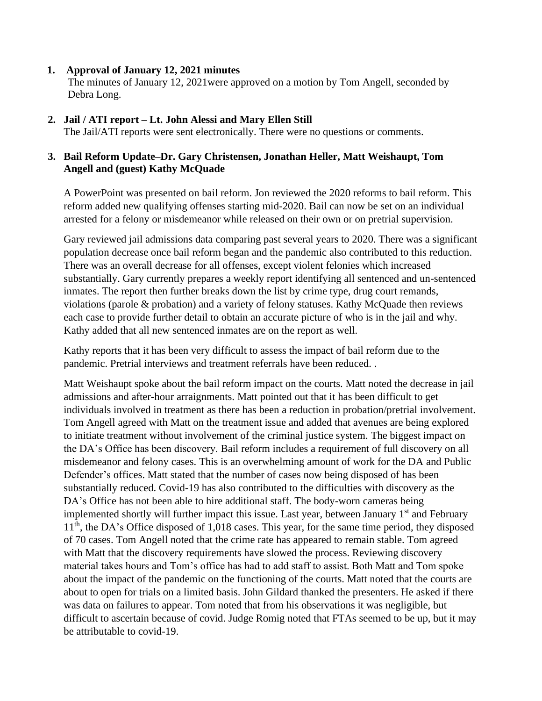## **1. Approval of January 12, 2021 minutes**

The minutes of January 12, 2021were approved on a motion by Tom Angell, seconded by Debra Long.

## **2. Jail / ATI report – Lt. John Alessi and Mary Ellen Still**

The Jail/ATI reports were sent electronically. There were no questions or comments.

## **3. Bail Reform Update–Dr. Gary Christensen, Jonathan Heller, Matt Weishaupt, Tom …..Angell and (guest) Kathy McQuade**

A PowerPoint was presented on bail reform. Jon reviewed the 2020 reforms to bail reform. This reform added new qualifying offenses starting mid-2020. Bail can now be set on an individual arrested for a felony or misdemeanor while released on their own or on pretrial supervision.

Gary reviewed jail admissions data comparing past several years to 2020. There was a significant population decrease once bail reform began and the pandemic also contributed to this reduction. There was an overall decrease for all offenses, except violent felonies which increased substantially. Gary currently prepares a weekly report identifying all sentenced and un-sentenced inmates. The report then further breaks down the list by crime type, drug court remands, violations (parole & probation) and a variety of felony statuses. Kathy McQuade then reviews each case to provide further detail to obtain an accurate picture of who is in the jail and why. Kathy added that all new sentenced inmates are on the report as well.

Kathy reports that it has been very difficult to assess the impact of bail reform due to the pandemic. Pretrial interviews and treatment referrals have been reduced. .

Matt Weishaupt spoke about the bail reform impact on the courts. Matt noted the decrease in jail admissions and after-hour arraignments. Matt pointed out that it has been difficult to get individuals involved in treatment as there has been a reduction in probation/pretrial involvement. Tom Angell agreed with Matt on the treatment issue and added that avenues are being explored to initiate treatment without involvement of the criminal justice system. The biggest impact on the DA's Office has been discovery. Bail reform includes a requirement of full discovery on all misdemeanor and felony cases. This is an overwhelming amount of work for the DA and Public Defender's offices. Matt stated that the number of cases now being disposed of has been substantially reduced. Covid-19 has also contributed to the difficulties with discovery as the DA's Office has not been able to hire additional staff. The body-worn cameras being implemented shortly will further impact this issue. Last year, between January  $1<sup>st</sup>$  and February 11<sup>th</sup>, the DA's Office disposed of 1,018 cases. This year, for the same time period, they disposed of 70 cases. Tom Angell noted that the crime rate has appeared to remain stable. Tom agreed with Matt that the discovery requirements have slowed the process. Reviewing discovery material takes hours and Tom's office has had to add staff to assist. Both Matt and Tom spoke about the impact of the pandemic on the functioning of the courts. Matt noted that the courts are about to open for trials on a limited basis. John Gildard thanked the presenters. He asked if there was data on failures to appear. Tom noted that from his observations it was negligible, but difficult to ascertain because of covid. Judge Romig noted that FTAs seemed to be up, but it may be attributable to covid-19.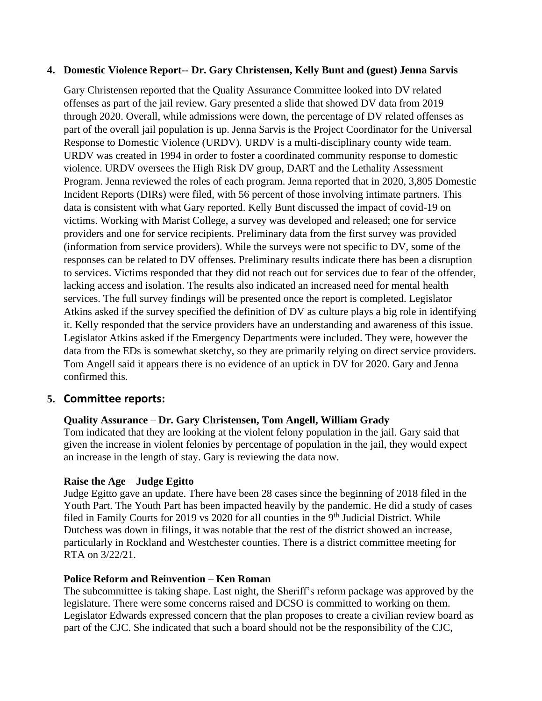### **4. Domestic Violence Report**-- **Dr. Gary Christensen, Kelly Bunt and (guest) Jenna Sarvis**

Gary Christensen reported that the Quality Assurance Committee looked into DV related offenses as part of the jail review. Gary presented a slide that showed DV data from 2019 through 2020. Overall, while admissions were down, the percentage of DV related offenses as part of the overall jail population is up. Jenna Sarvis is the Project Coordinator for the Universal Response to Domestic Violence (URDV). URDV is a multi-disciplinary county wide team. URDV was created in 1994 in order to foster a coordinated community response to domestic violence. URDV oversees the High Risk DV group, DART and the Lethality Assessment Program. Jenna reviewed the roles of each program. Jenna reported that in 2020, 3,805 Domestic Incident Reports (DIRs) were filed, with 56 percent of those involving intimate partners. This data is consistent with what Gary reported. Kelly Bunt discussed the impact of covid-19 on victims. Working with Marist College, a survey was developed and released; one for service providers and one for service recipients. Preliminary data from the first survey was provided (information from service providers). While the surveys were not specific to DV, some of the responses can be related to DV offenses. Preliminary results indicate there has been a disruption to services. Victims responded that they did not reach out for services due to fear of the offender, lacking access and isolation. The results also indicated an increased need for mental health services. The full survey findings will be presented once the report is completed. Legislator Atkins asked if the survey specified the definition of DV as culture plays a big role in identifying it. Kelly responded that the service providers have an understanding and awareness of this issue. Legislator Atkins asked if the Emergency Departments were included. They were, however the data from the EDs is somewhat sketchy, so they are primarily relying on direct service providers. Tom Angell said it appears there is no evidence of an uptick in DV for 2020. Gary and Jenna confirmed this.

# **5. Committee reports:**

### **Quality Assurance** – **Dr. Gary Christensen, Tom Angell, William Grady**

Tom indicated that they are looking at the violent felony population in the jail. Gary said that given the increase in violent felonies by percentage of population in the jail, they would expect an increase in the length of stay. Gary is reviewing the data now.

### **Raise the Age** – **Judge Egitto**

Judge Egitto gave an update. There have been 28 cases since the beginning of 2018 filed in the Youth Part. The Youth Part has been impacted heavily by the pandemic. He did a study of cases filed in Family Courts for 2019 vs 2020 for all counties in the 9<sup>th</sup> Judicial District. While Dutchess was down in filings, it was notable that the rest of the district showed an increase, particularly in Rockland and Westchester counties. There is a district committee meeting for RTA on 3/22/21.

### **Police Reform and Reinvention** – **Ken Roman**

The subcommittee is taking shape. Last night, the Sheriff's reform package was approved by the legislature. There were some concerns raised and DCSO is committed to working on them. Legislator Edwards expressed concern that the plan proposes to create a civilian review board as part of the CJC. She indicated that such a board should not be the responsibility of the CJC,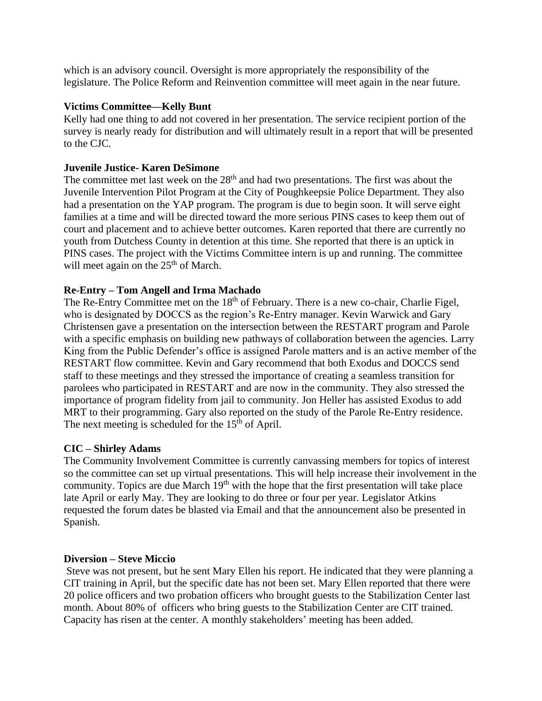which is an advisory council. Oversight is more appropriately the responsibility of the legislature. The Police Reform and Reinvention committee will meet again in the near future.

## **Victims Committee—Kelly Bunt**

Kelly had one thing to add not covered in her presentation. The service recipient portion of the survey is nearly ready for distribution and will ultimately result in a report that will be presented to the CJC.

## **Juvenile Justice- Karen DeSimone**

The committee met last week on the  $28<sup>th</sup>$  and had two presentations. The first was about the Juvenile Intervention Pilot Program at the City of Poughkeepsie Police Department. They also had a presentation on the YAP program. The program is due to begin soon. It will serve eight families at a time and will be directed toward the more serious PINS cases to keep them out of court and placement and to achieve better outcomes. Karen reported that there are currently no youth from Dutchess County in detention at this time. She reported that there is an uptick in PINS cases. The project with the Victims Committee intern is up and running. The committee will meet again on the  $25<sup>th</sup>$  of March.

# **Re-Entry – Tom Angell and Irma Machado**

The Re-Entry Committee met on the 18<sup>th</sup> of February. There is a new co-chair, Charlie Figel, who is designated by DOCCS as the region's Re-Entry manager. Kevin Warwick and Gary Christensen gave a presentation on the intersection between the RESTART program and Parole with a specific emphasis on building new pathways of collaboration between the agencies. Larry King from the Public Defender's office is assigned Parole matters and is an active member of the RESTART flow committee. Kevin and Gary recommend that both Exodus and DOCCS send staff to these meetings and they stressed the importance of creating a seamless transition for parolees who participated in RESTART and are now in the community. They also stressed the importance of program fidelity from jail to community. Jon Heller has assisted Exodus to add MRT to their programming. Gary also reported on the study of the Parole Re-Entry residence. The next meeting is scheduled for the  $15<sup>th</sup>$  of April.

### **CIC – Shirley Adams**

The Community Involvement Committee is currently canvassing members for topics of interest so the committee can set up virtual presentations. This will help increase their involvement in the community. Topics are due March  $19<sup>th</sup>$  with the hope that the first presentation will take place late April or early May. They are looking to do three or four per year. Legislator Atkins requested the forum dates be blasted via Email and that the announcement also be presented in Spanish.

### **Diversion – Steve Miccio**

Steve was not present, but he sent Mary Ellen his report. He indicated that they were planning a CIT training in April, but the specific date has not been set. Mary Ellen reported that there were 20 police officers and two probation officers who brought guests to the Stabilization Center last month. About 80% of officers who bring guests to the Stabilization Center are CIT trained. Capacity has risen at the center. A monthly stakeholders' meeting has been added.